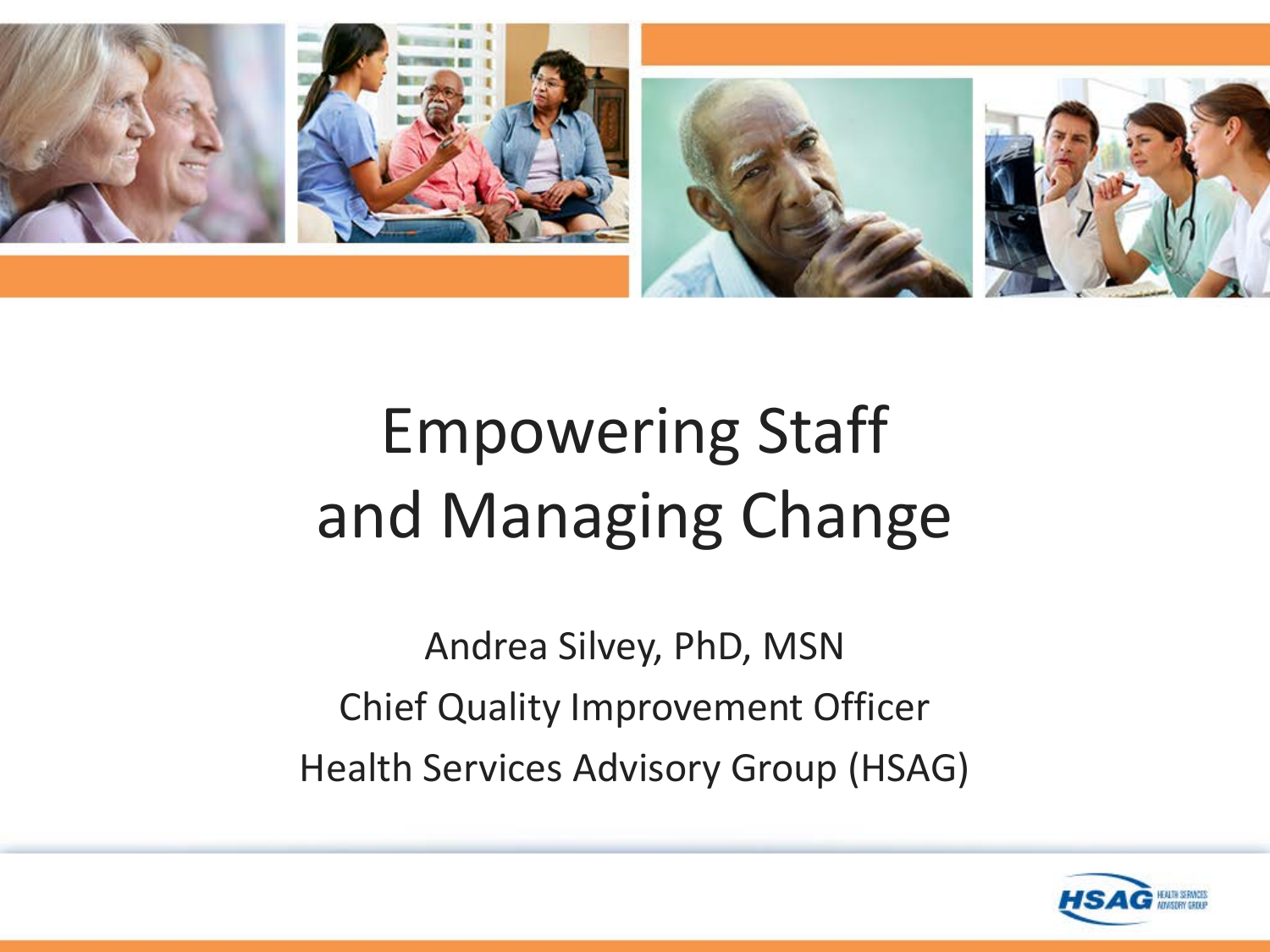

## Empowering Staff and Managing Change

Andrea Silvey, PhD, MSN Chief Quality Improvement Officer Health Services Advisory Group (HSAG)

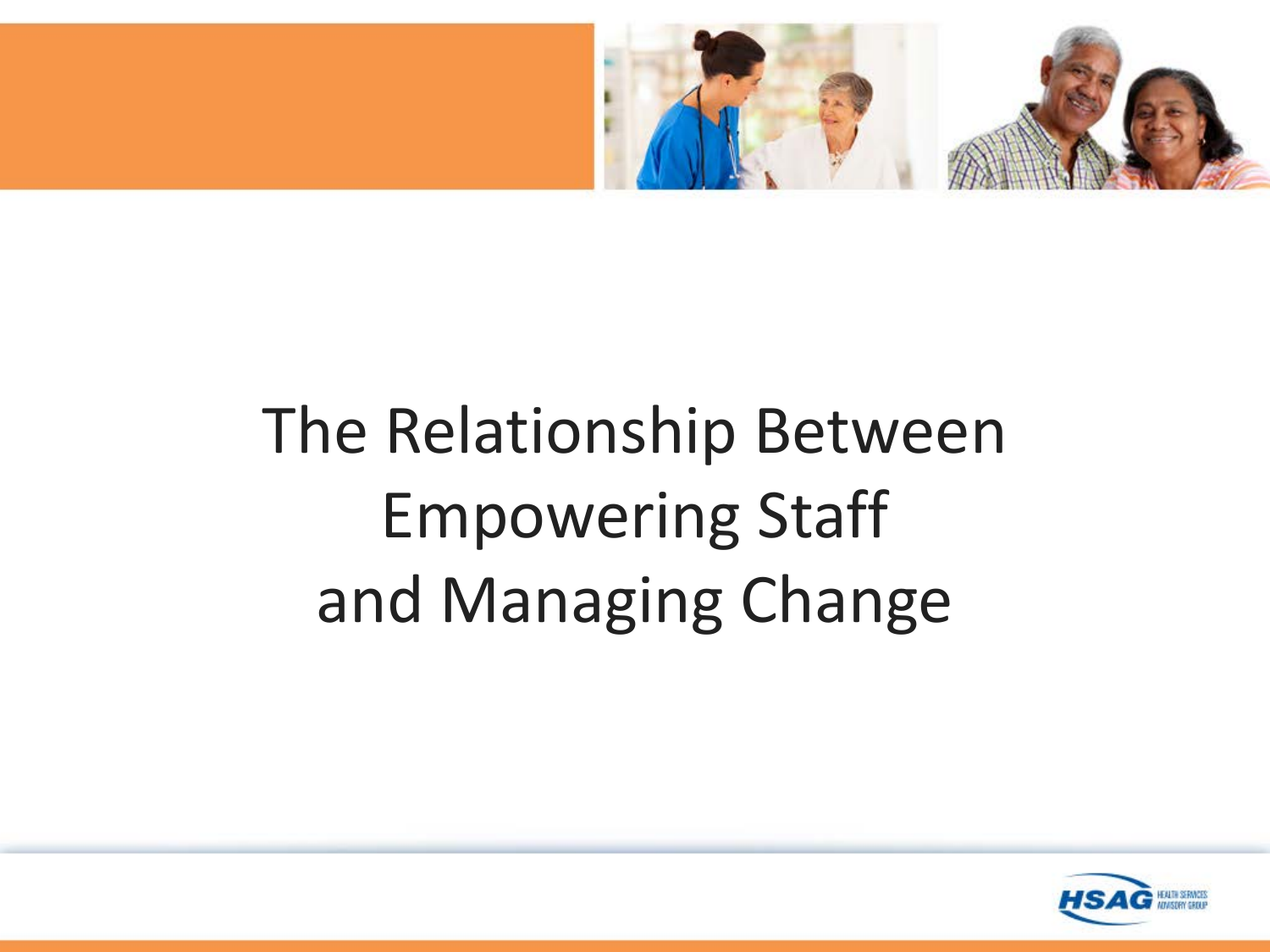

# The Relationship Between Empowering Staff and Managing Change

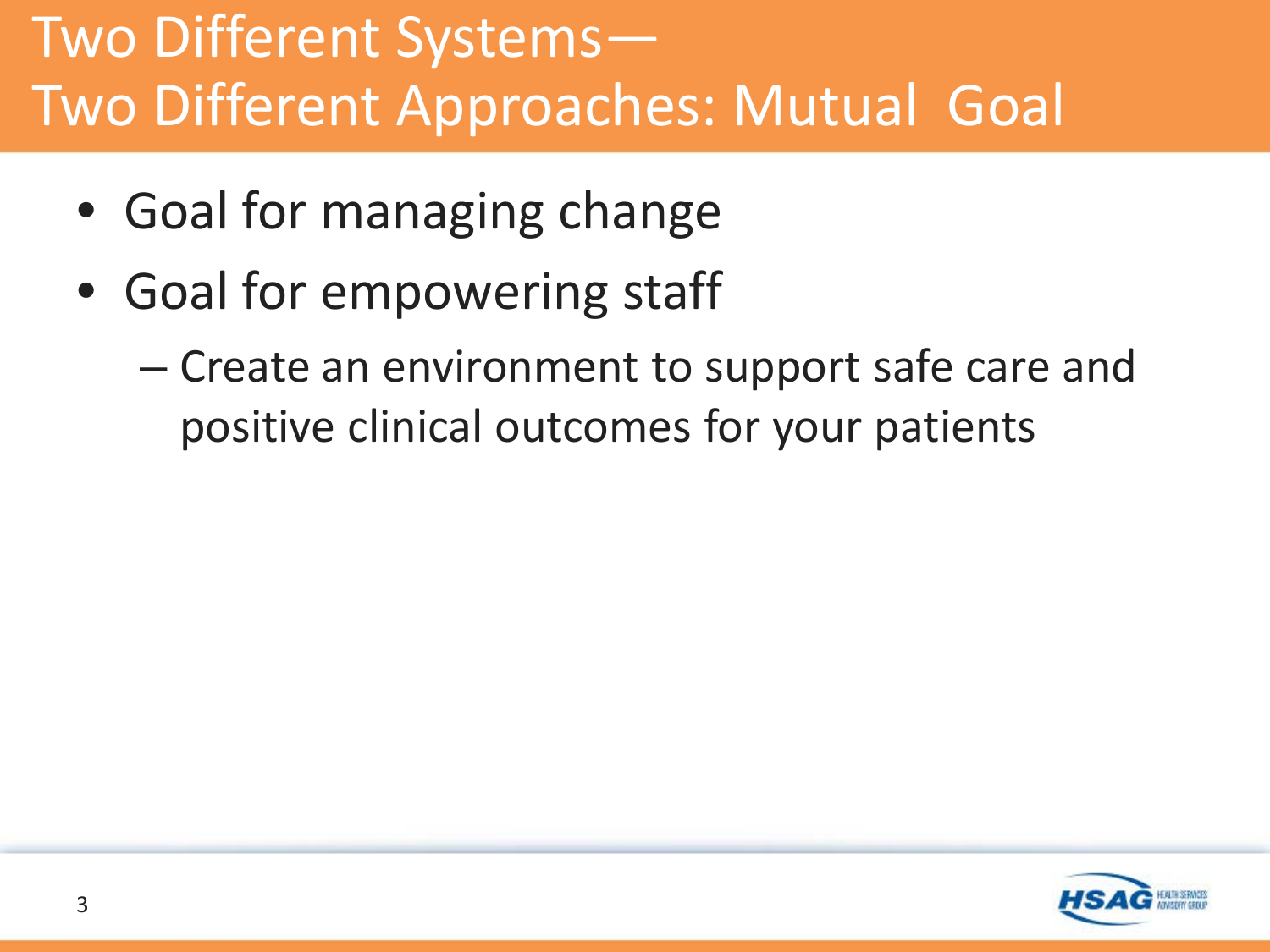#### Two Different Systems— Two Different Approaches: Mutual Goal

- Goal for managing change
- Goal for empowering staff
	- Create an environment to support safe care and positive clinical outcomes for your patients

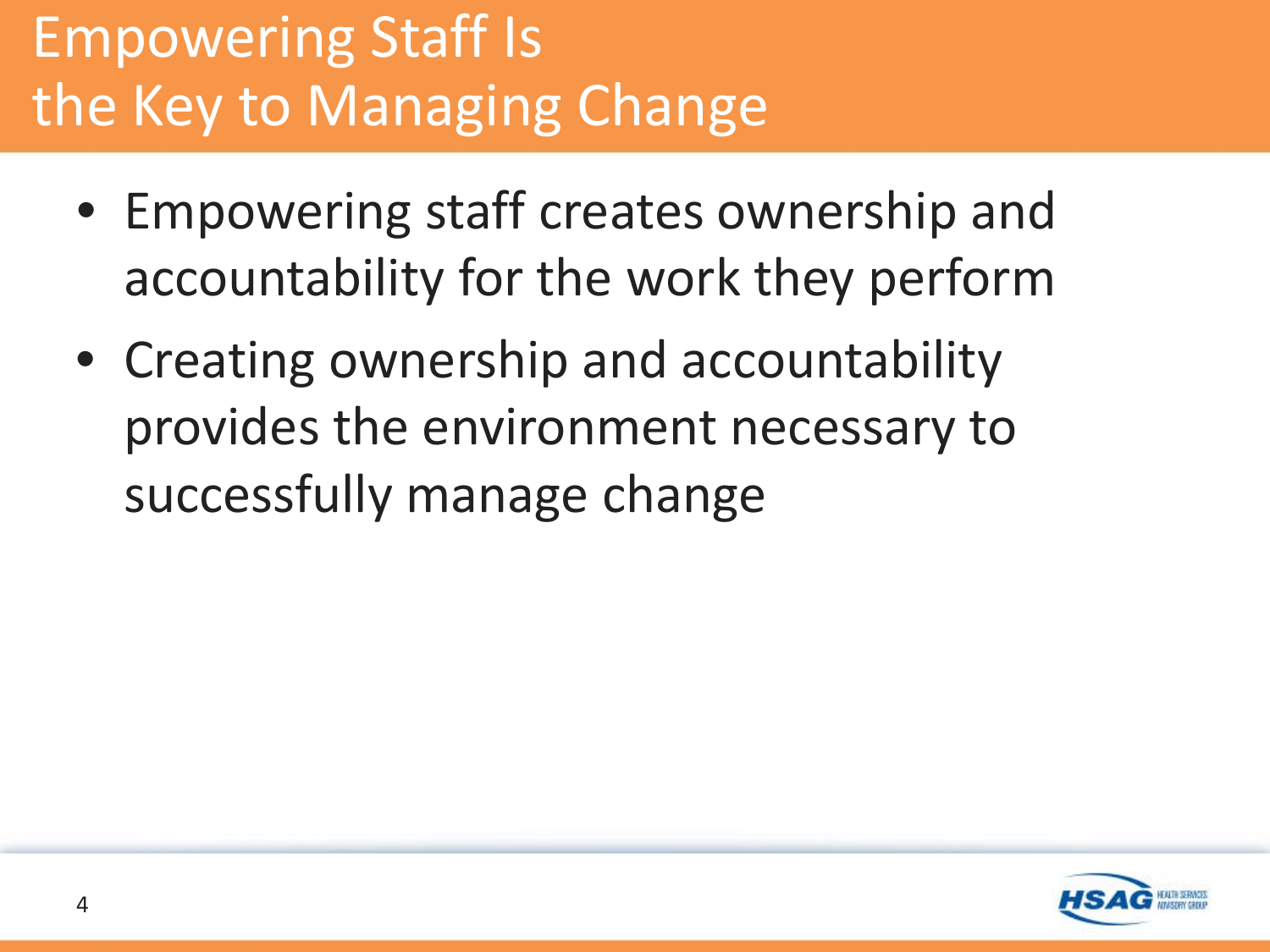### Empowering Staff Is the Key to Managing Change

- Empowering staff creates ownership and accountability for the work they perform
- Creating ownership and accountability provides the environment necessary to successfully manage change

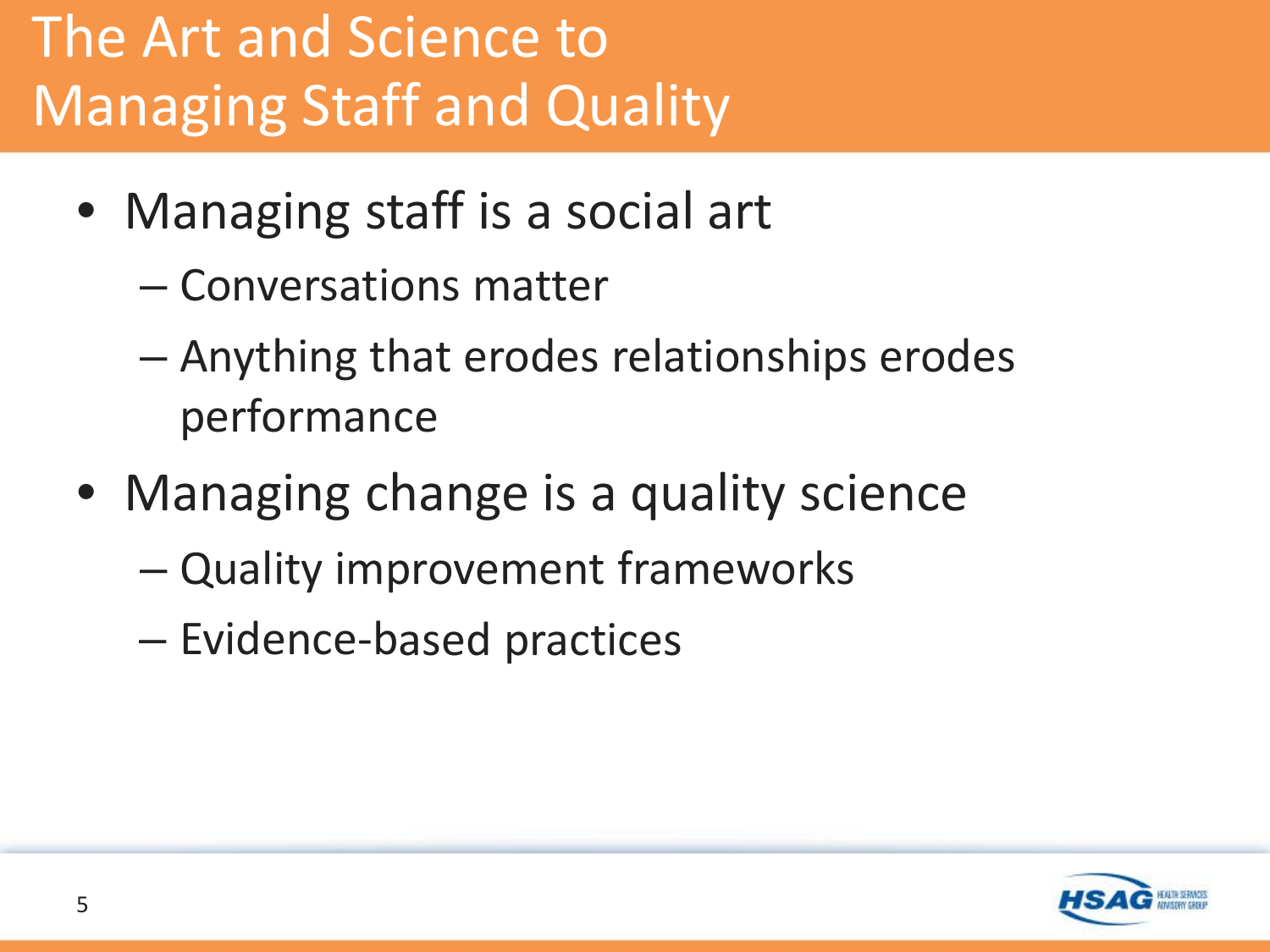## The Art and Science to Managing Staff and Quality

- Managing staff is a social art
	- Conversations matter
	- Anything that erodes relationships erodes performance
- Managing change is a quality science
	- Quality improvement frameworks
	- Evidence-based practices

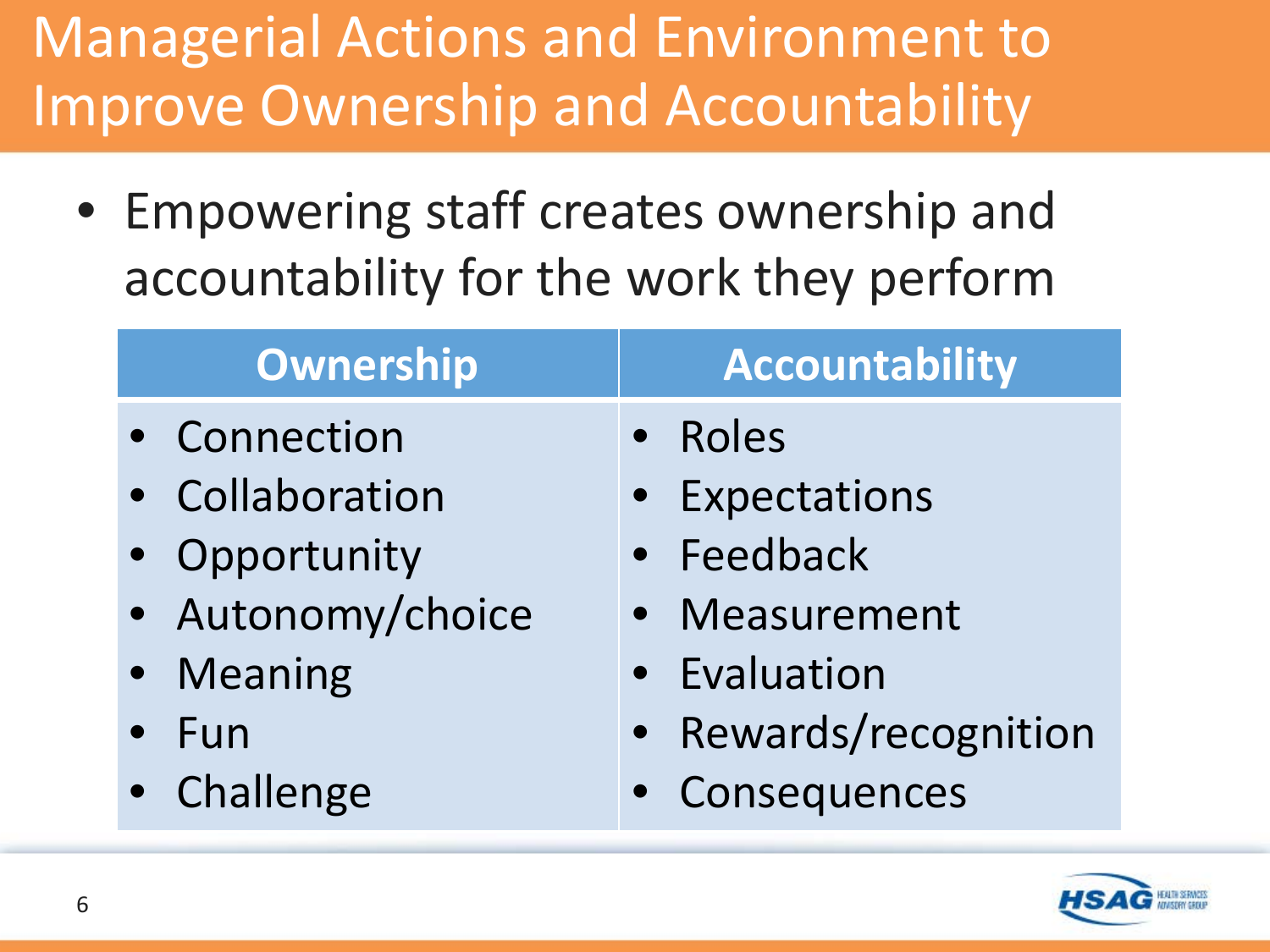#### Managerial Actions and Environment to Improve Ownership and Accountability

• Empowering staff creates ownership and accountability for the work they perform

| Ownership         | <b>Accountability</b> |
|-------------------|-----------------------|
| • Connection      | <b>Roles</b>          |
| • Collaboration   | <b>Expectations</b>   |
| • Opportunity     | • Feedback            |
| · Autonomy/choice | • Measurement         |
| • Meaning         | • Evaluation          |
| Fun               | • Rewards/recognition |
| • Challenge       | • Consequences        |
|                   |                       |

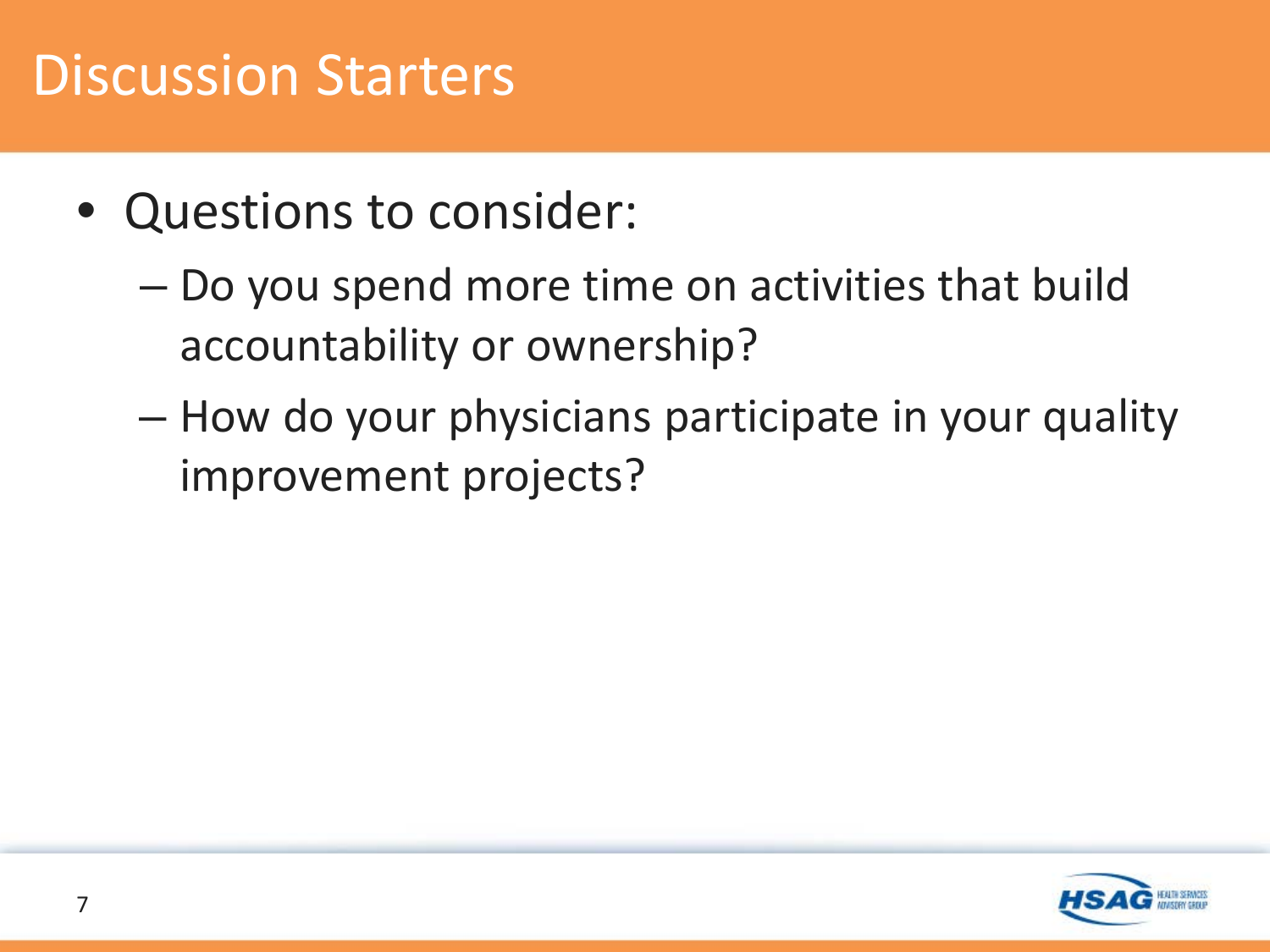#### Discussion Starters

- Questions to consider:
	- Do you spend more time on activities that build accountability or ownership?
	- How do your physicians participate in your quality improvement projects?

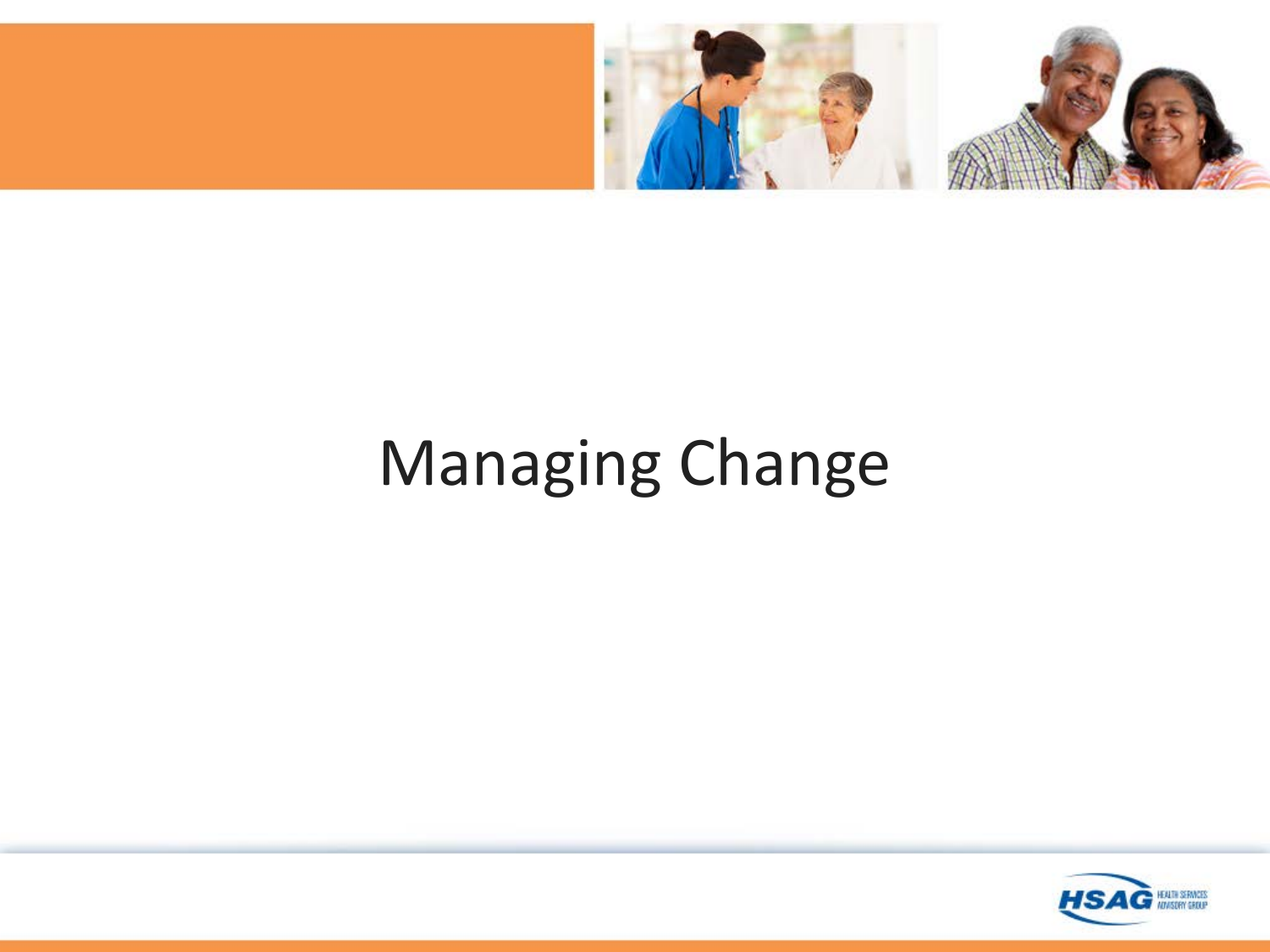

## Managing Change

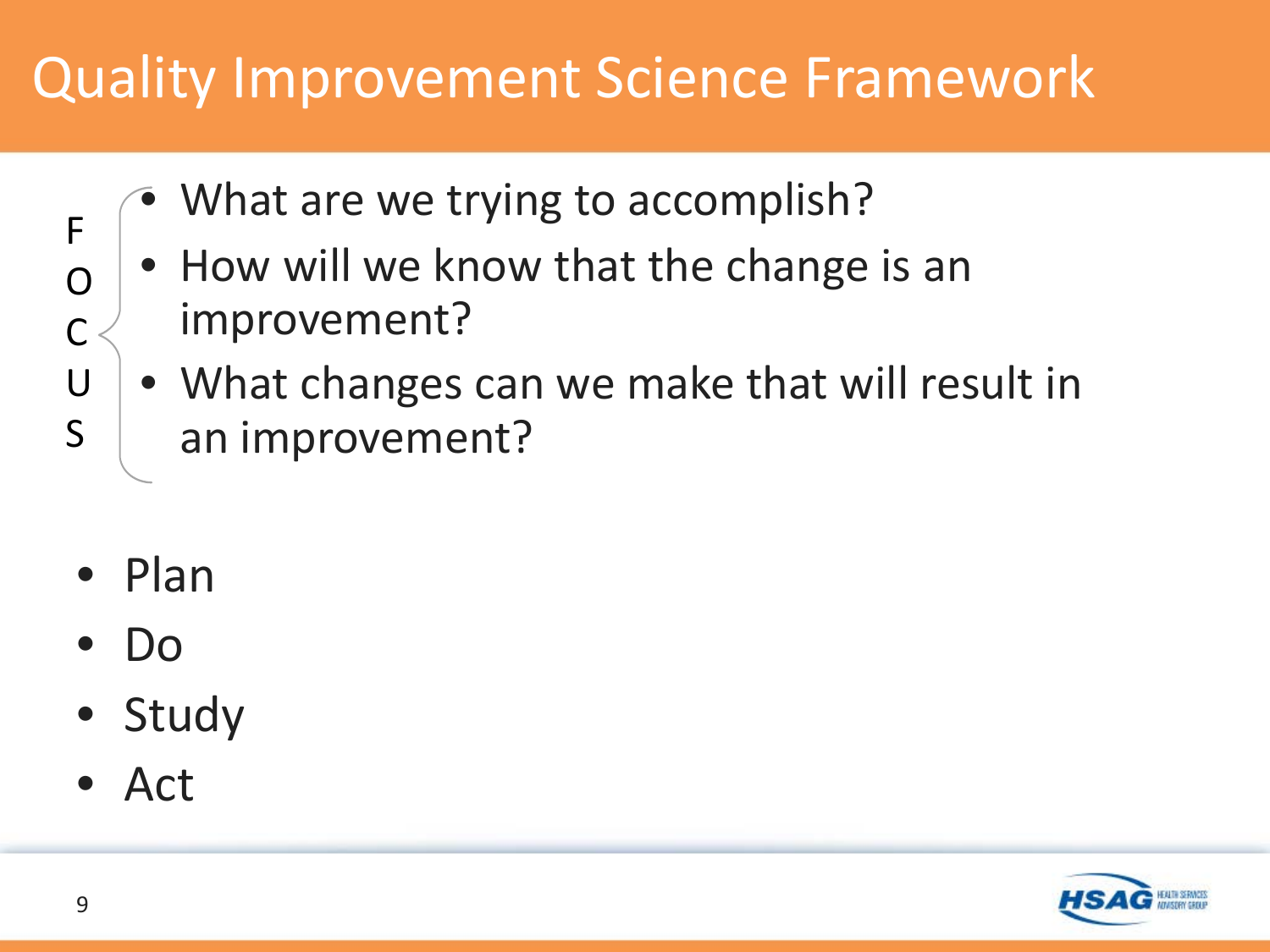#### Quality Improvement Science Framework

- What are we trying to accomplish?
- How will we know that the change is an improvement?
- What changes can we make that will result in an improvement?
- Plan
- Do
- Study
- Act



F

O

C

U

S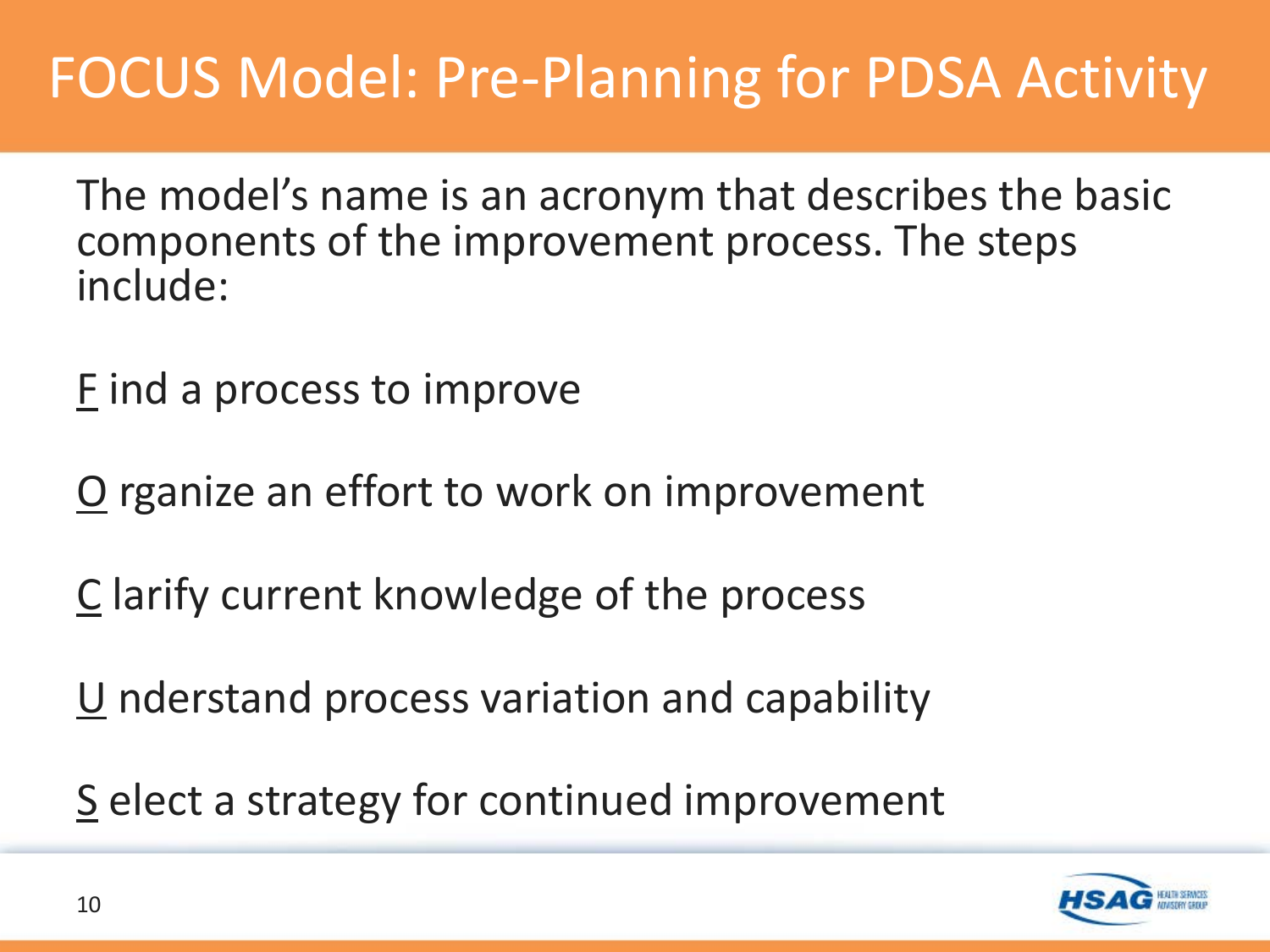#### FOCUS Model: Pre-Planning for PDSA Activity

The model's name is an acronym that describes the basic components of the improvement process. The steps include:

F ind a process to improve

O rganize an effort to work on improvement

C larify current knowledge of the process

U nderstand process variation and capability

S elect a strategy for continued improvement

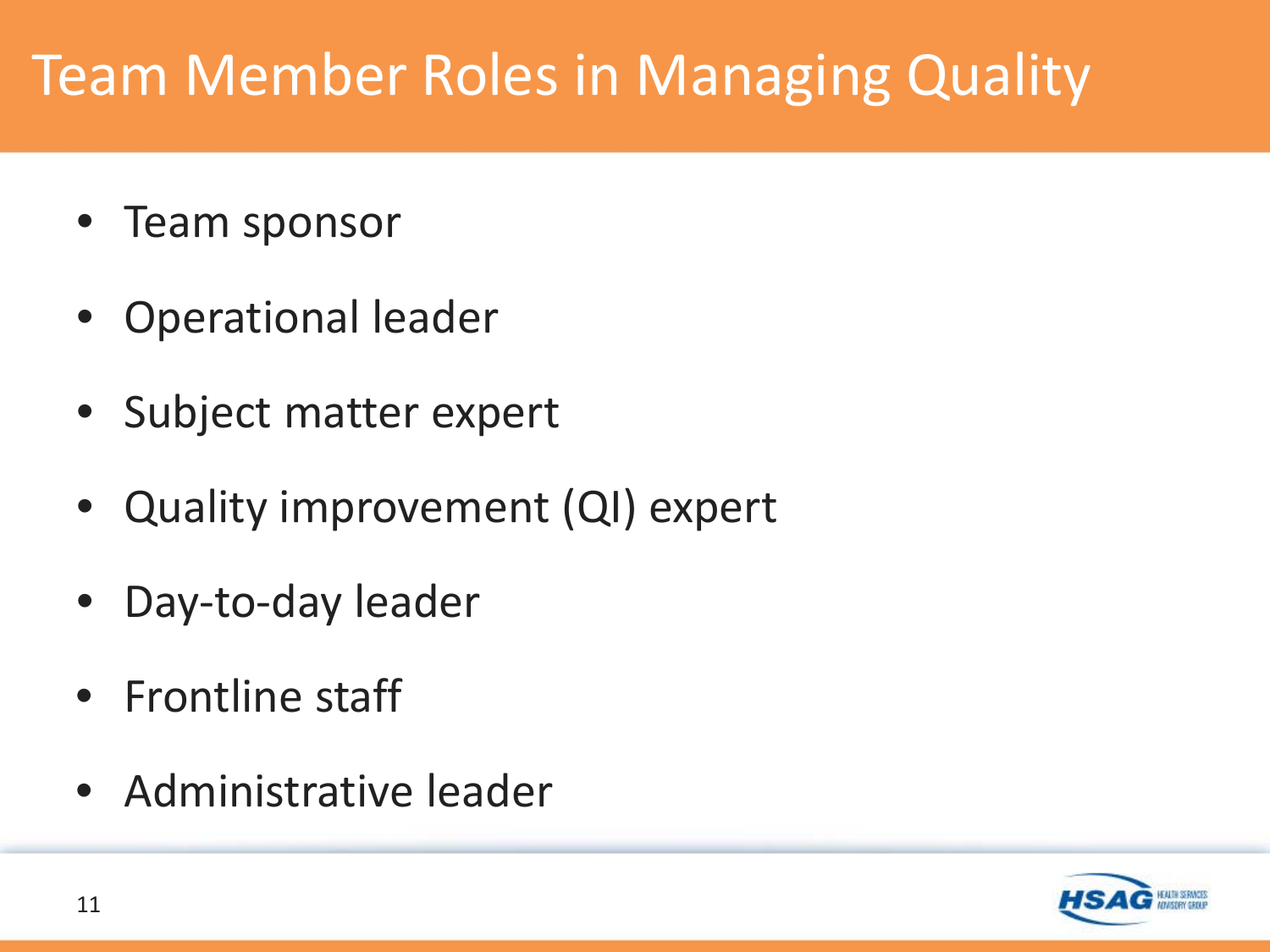#### Team Member Roles in Managing Quality

- Team sponsor
- Operational leader
- Subject matter expert
- Quality improvement (QI) expert
- Day-to-day leader
- Frontline staff
- Administrative leader

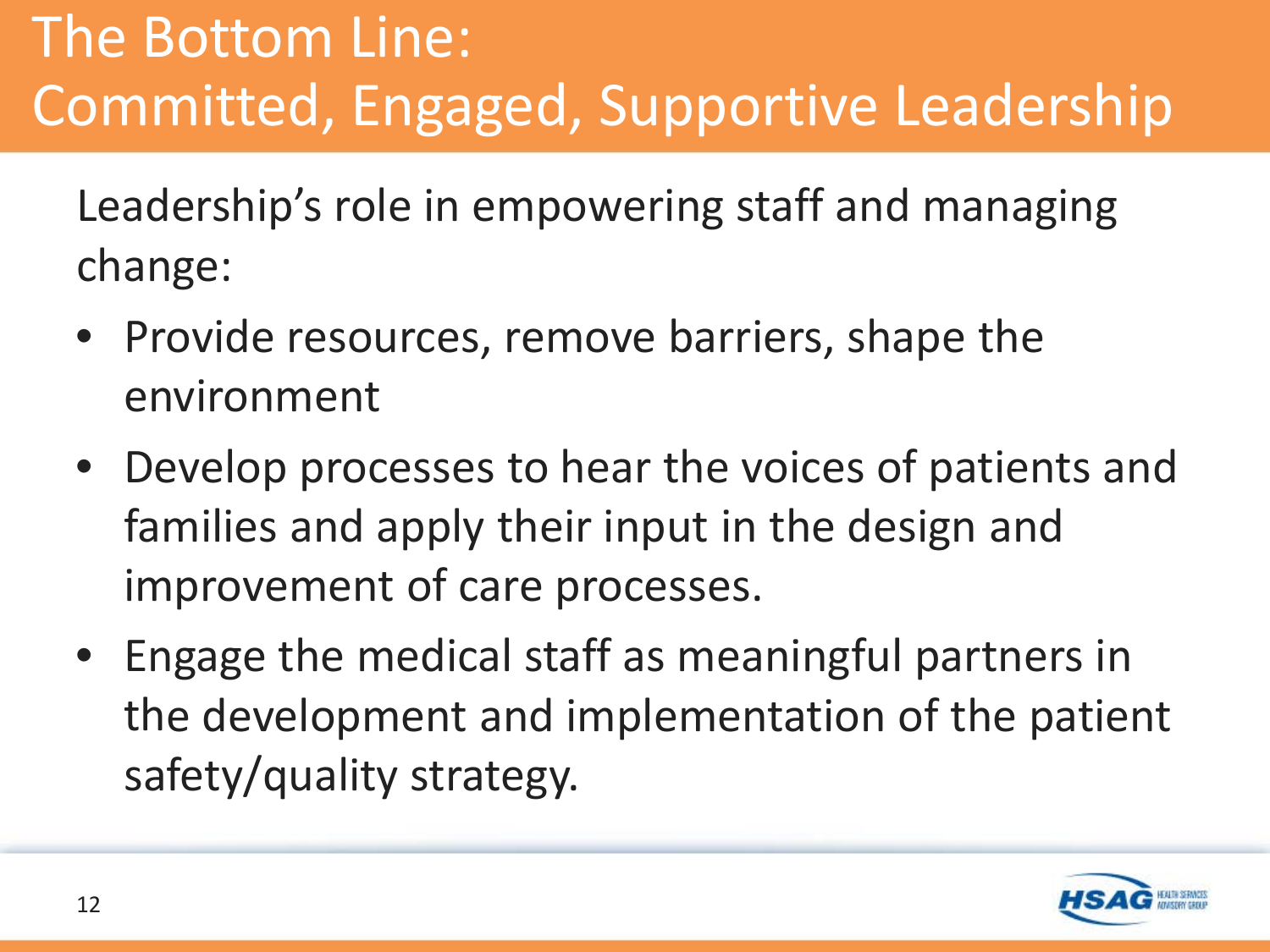## The Bottom Line: Committed, Engaged, Supportive Leadership

Leadership's role in empowering staff and managing change:

- Provide resources, remove barriers, shape the environment
- Develop processes to hear the voices of patients and families and apply their input in the design and improvement of care processes.
- Engage the medical staff as meaningful partners in the development and implementation of the patient safety/quality strategy.

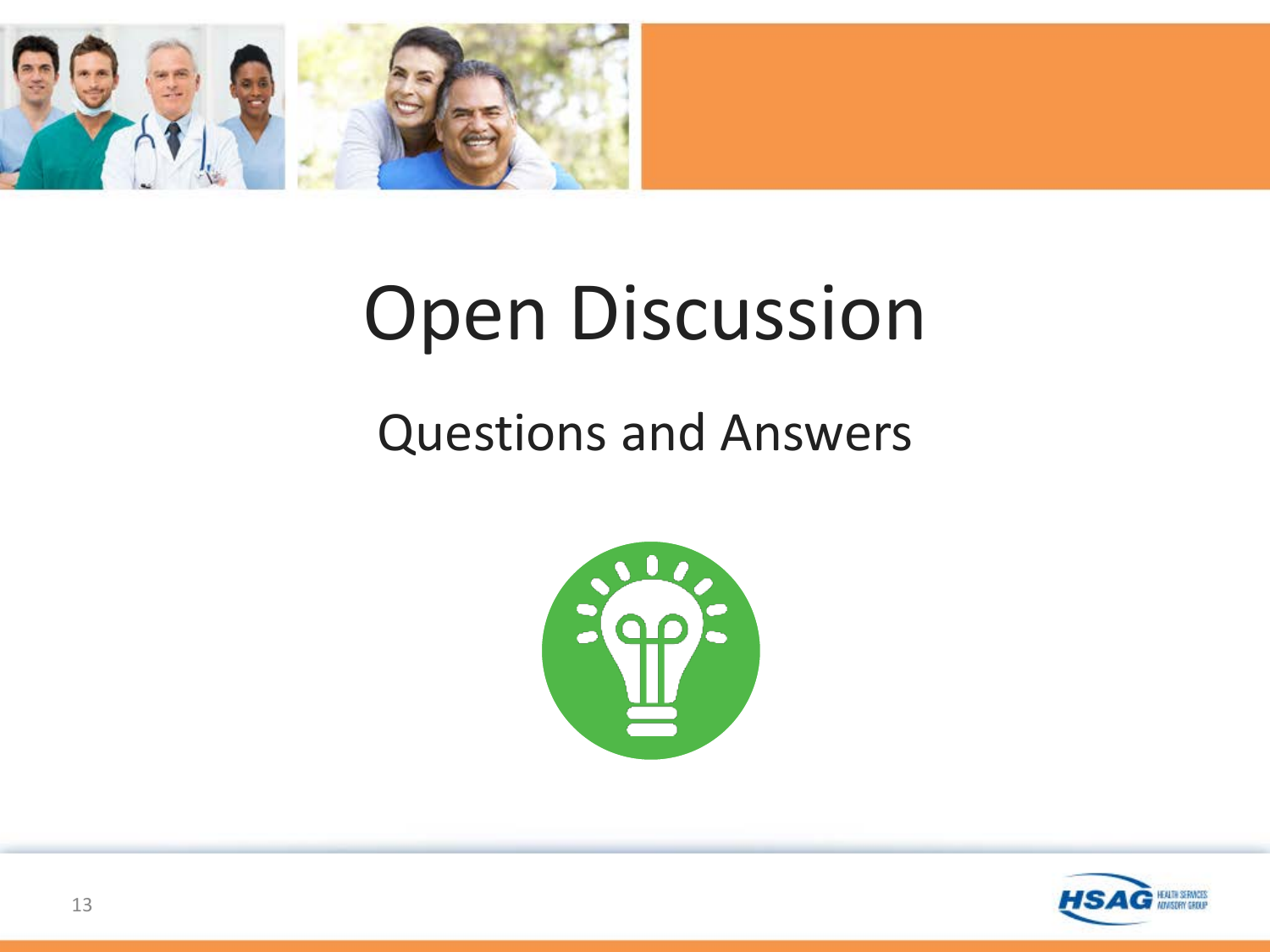

# Open Discussion

#### Questions and Answers



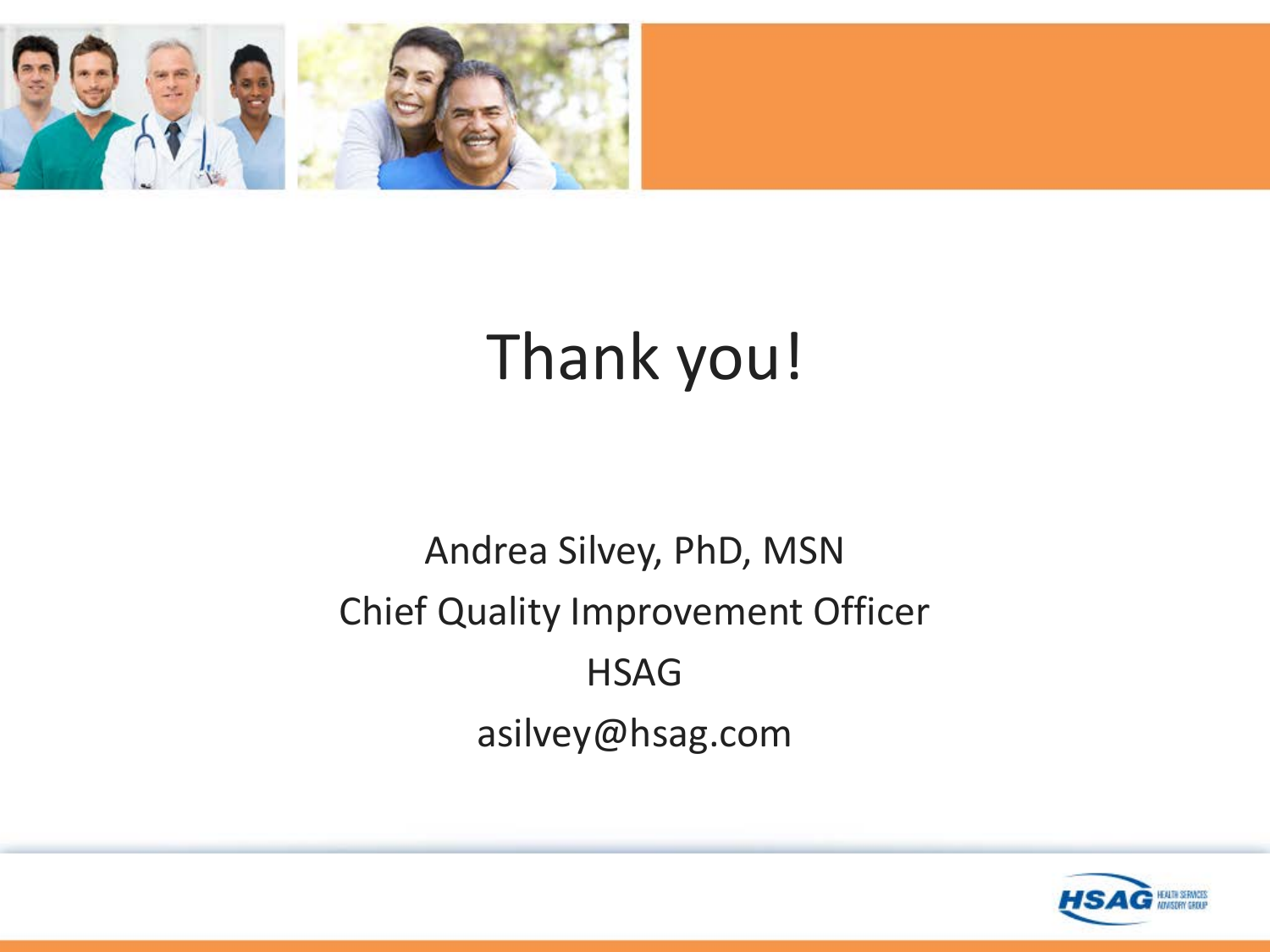

## Thank you!

#### Andrea Silvey, PhD, MSN Chief Quality Improvement Officer **HSAG** asilvey@hsag.com